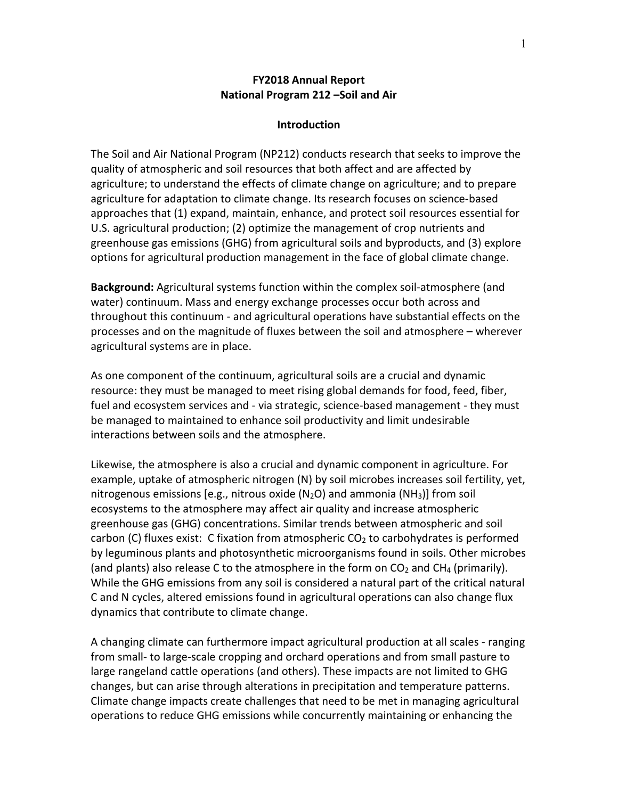# **FY2018 Annual Report National Program 212 –Soil and Air**

## **Introduction**

The Soil and Air National Program (NP212) conducts research that seeks to improve the quality of atmospheric and soil resources that both affect and are affected by agriculture; to understand the effects of climate change on agriculture; and to prepare agriculture for adaptation to climate change. Its research focuses on science-based approaches that (1) expand, maintain, enhance, and protect soil resources essential for U.S. agricultural production; (2) optimize the management of crop nutrients and greenhouse gas emissions (GHG) from agricultural soils and byproducts, and (3) explore options for agricultural production management in the face of global climate change.

**Background:** Agricultural systems function within the complex soil-atmosphere (and water) continuum. Mass and energy exchange processes occur both across and throughout this continuum - and agricultural operations have substantial effects on the processes and on the magnitude of fluxes between the soil and atmosphere – wherever agricultural systems are in place.

As one component of the continuum, agricultural soils are a crucial and dynamic resource: they must be managed to meet rising global demands for food, feed, fiber, fuel and ecosystem services and - via strategic, science-based management - they must be managed to maintained to enhance soil productivity and limit undesirable interactions between soils and the atmosphere.

Likewise, the atmosphere is also a crucial and dynamic component in agriculture. For example, uptake of atmospheric nitrogen (N) by soil microbes increases soil fertility, yet, nitrogenous emissions [e.g., nitrous oxide ( $N_2O$ ) and ammonia ( $NH_3$ )] from soil ecosystems to the atmosphere may affect air quality and increase atmospheric greenhouse gas (GHG) concentrations. Similar trends between atmospheric and soil carbon (C) fluxes exist: C fixation from atmospheric  $CO<sub>2</sub>$  to carbohydrates is performed by leguminous plants and photosynthetic microorganisms found in soils. Other microbes (and plants) also release C to the atmosphere in the form on  $CO<sub>2</sub>$  and CH<sub>4</sub> (primarily). While the GHG emissions from any soil is considered a natural part of the critical natural C and N cycles, altered emissions found in agricultural operations can also change flux dynamics that contribute to climate change.

A changing climate can furthermore impact agricultural production at all scales - ranging from small- to large-scale cropping and orchard operations and from small pasture to large rangeland cattle operations (and others). These impacts are not limited to GHG changes, but can arise through alterations in precipitation and temperature patterns. Climate change impacts create challenges that need to be met in managing agricultural operations to reduce GHG emissions while concurrently maintaining or enhancing the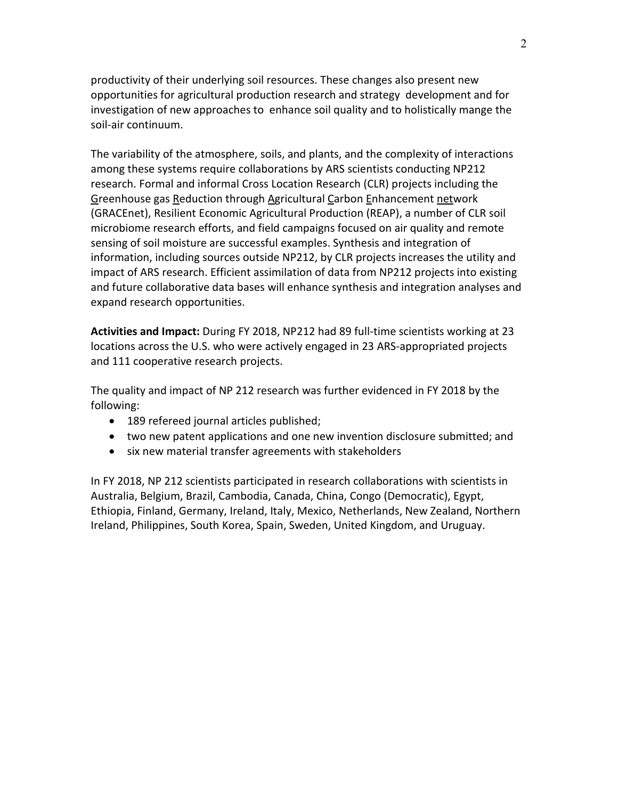productivity of their underlying soil resources. These changes also present new opportunities for agricultural production research and strategy development and for investigation of new approaches to enhance soil quality and to holistically mange the soil-air continuum.

The variability of the atmosphere, soils, and plants, and the complexity of interactions among these systems require collaborations by ARS scientists conducting NP212 research. Formal and informal Cross Location Research (CLR) projects including the Greenhouse gas Reduction through Agricultural Carbon Enhancement network (GRACEnet), Resilient Economic Agricultural Production (REAP), a number of CLR soil microbiome research efforts, and field campaigns focused on air quality and remote sensing of soil moisture are successful examples. Synthesis and integration of information, including sources outside NP212, by CLR projects increases the utility and impact of ARS research. Efficient assimilation of data from NP212 projects into existing and future collaborative data bases will enhance synthesis and integration analyses and expand research opportunities.

**Activities and Impact:** During FY 2018, NP212 had 89 full-time scientists working at 23 locations across the U.S. who were actively engaged in 23 ARS-appropriated projects and 111 cooperative research projects.

The quality and impact of NP 212 research was further evidenced in FY 2018 by the following:

- 189 refereed journal articles published;
- two new patent applications and one new invention disclosure submitted; and
- six new material transfer agreements with stakeholders

In FY 2018, NP 212 scientists participated in research collaborations with scientists in Australia, Belgium, Brazil, Cambodia, Canada, China, Congo (Democratic), Egypt, Ethiopia, Finland, Germany, Ireland, Italy, Mexico, Netherlands, New Zealand, Northern Ireland, Philippines, South Korea, Spain, Sweden, United Kingdom, and Uruguay.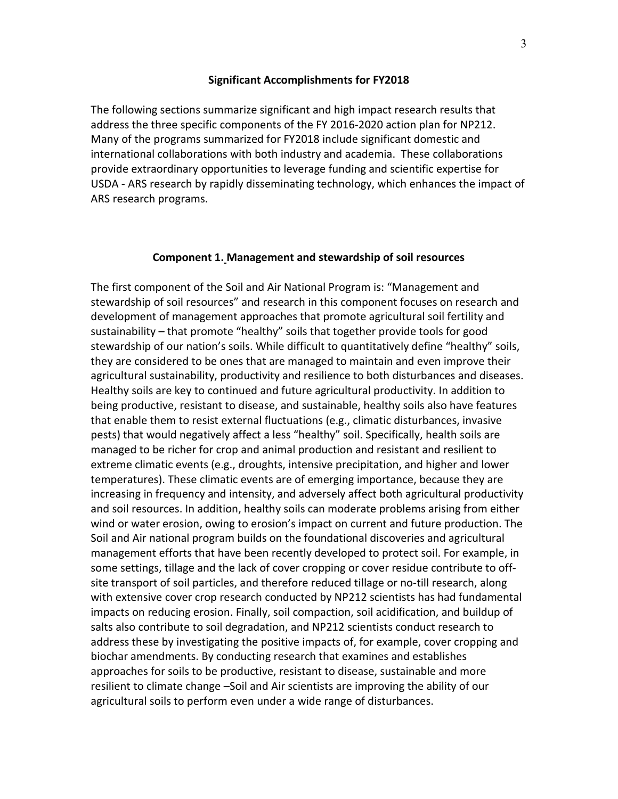## **Significant Accomplishments for FY2018**

The following sections summarize significant and high impact research results that address the three specific components of the FY 2016-2020 action plan for NP212. Many of the programs summarized for FY2018 include significant domestic and international collaborations with both industry and academia. These collaborations provide extraordinary opportunities to leverage funding and scientific expertise for USDA - ARS research by rapidly disseminating technology, which enhances the impact of ARS research programs.

## **Component 1. Management and stewardship of soil resources**

The first component of the Soil and Air National Program is: "Management and stewardship of soil resources" and research in this component focuses on research and development of management approaches that promote agricultural soil fertility and sustainability – that promote "healthy" soils that together provide tools for good stewardship of our nation's soils. While difficult to quantitatively define "healthy" soils, they are considered to be ones that are managed to maintain and even improve their agricultural sustainability, productivity and resilience to both disturbances and diseases. Healthy soils are key to continued and future agricultural productivity. In addition to being productive, resistant to disease, and sustainable, healthy soils also have features that enable them to resist external fluctuations (e.g., climatic disturbances, invasive pests) that would negatively affect a less "healthy" soil. Specifically, health soils are managed to be richer for crop and animal production and resistant and resilient to extreme climatic events (e.g., droughts, intensive precipitation, and higher and lower temperatures). These climatic events are of emerging importance, because they are increasing in frequency and intensity, and adversely affect both agricultural productivity and soil resources. In addition, healthy soils can moderate problems arising from either wind or water erosion, owing to erosion's impact on current and future production. The Soil and Air national program builds on the foundational discoveries and agricultural management efforts that have been recently developed to protect soil. For example, in some settings, tillage and the lack of cover cropping or cover residue contribute to offsite transport of soil particles, and therefore reduced tillage or no-till research, along with extensive cover crop research conducted by NP212 scientists has had fundamental impacts on reducing erosion. Finally, soil compaction, soil acidification, and buildup of salts also contribute to soil degradation, and NP212 scientists conduct research to address these by investigating the positive impacts of, for example, cover cropping and biochar amendments. By conducting research that examines and establishes approaches for soils to be productive, resistant to disease, sustainable and more resilient to climate change –Soil and Air scientists are improving the ability of our agricultural soils to perform even under a wide range of disturbances.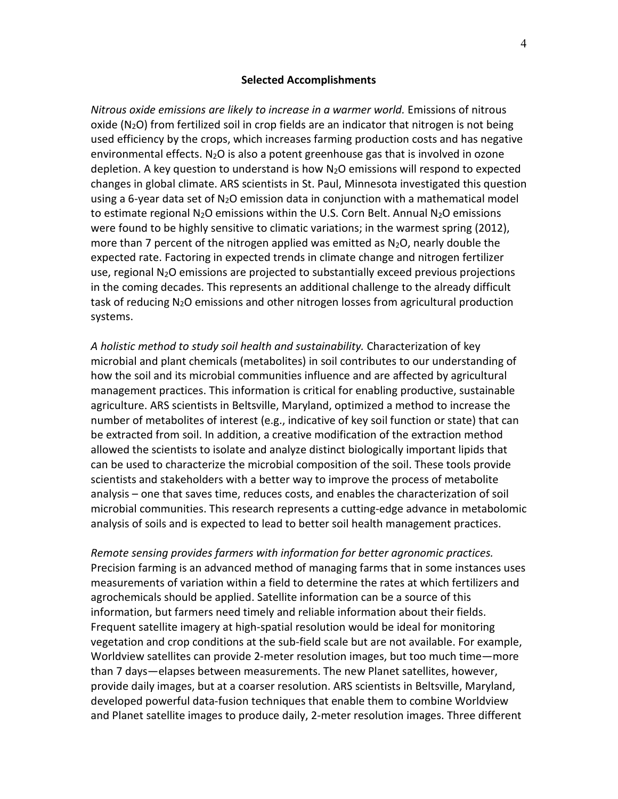#### **Selected Accomplishments**

*Nitrous oxide emissions are likely to increase in a warmer world.* Emissions of nitrous oxide  $(N_2O)$  from fertilized soil in crop fields are an indicator that nitrogen is not being used efficiency by the crops, which increases farming production costs and has negative environmental effects.  $N_2O$  is also a potent greenhouse gas that is involved in ozone depletion. A key question to understand is how  $N_2O$  emissions will respond to expected changes in global climate. ARS scientists in St. Paul, Minnesota investigated this question using a 6-year data set of  $N_2O$  emission data in conjunction with a mathematical model to estimate regional  $N_2O$  emissions within the U.S. Corn Belt. Annual  $N_2O$  emissions were found to be highly sensitive to climatic variations; in the warmest spring (2012), more than 7 percent of the nitrogen applied was emitted as  $N_2O$ , nearly double the expected rate. Factoring in expected trends in climate change and nitrogen fertilizer use, regional  $N_2O$  emissions are projected to substantially exceed previous projections in the coming decades. This represents an additional challenge to the already difficult task of reducing  $N_2O$  emissions and other nitrogen losses from agricultural production systems.

*A holistic method to study soil health and sustainability.* Characterization of key microbial and plant chemicals (metabolites) in soil contributes to our understanding of how the soil and its microbial communities influence and are affected by agricultural management practices. This information is critical for enabling productive, sustainable agriculture. ARS scientists in Beltsville, Maryland, optimized a method to increase the number of metabolites of interest (e.g., indicative of key soil function or state) that can be extracted from soil. In addition, a creative modification of the extraction method allowed the scientists to isolate and analyze distinct biologically important lipids that can be used to characterize the microbial composition of the soil. These tools provide scientists and stakeholders with a better way to improve the process of metabolite analysis – one that saves time, reduces costs, and enables the characterization of soil microbial communities. This research represents a cutting-edge advance in metabolomic analysis of soils and is expected to lead to better soil health management practices.

*Remote sensing provides farmers with information for better agronomic practices.* Precision farming is an advanced method of managing farms that in some instances uses measurements of variation within a field to determine the rates at which fertilizers and agrochemicals should be applied. Satellite information can be a source of this information, but farmers need timely and reliable information about their fields. Frequent satellite imagery at high-spatial resolution would be ideal for monitoring vegetation and crop conditions at the sub-field scale but are not available. For example, Worldview satellites can provide 2-meter resolution images, but too much time—more than 7 days—elapses between measurements. The new Planet satellites, however, provide daily images, but at a coarser resolution. ARS scientists in Beltsville, Maryland, developed powerful data-fusion techniques that enable them to combine Worldview and Planet satellite images to produce daily, 2-meter resolution images. Three different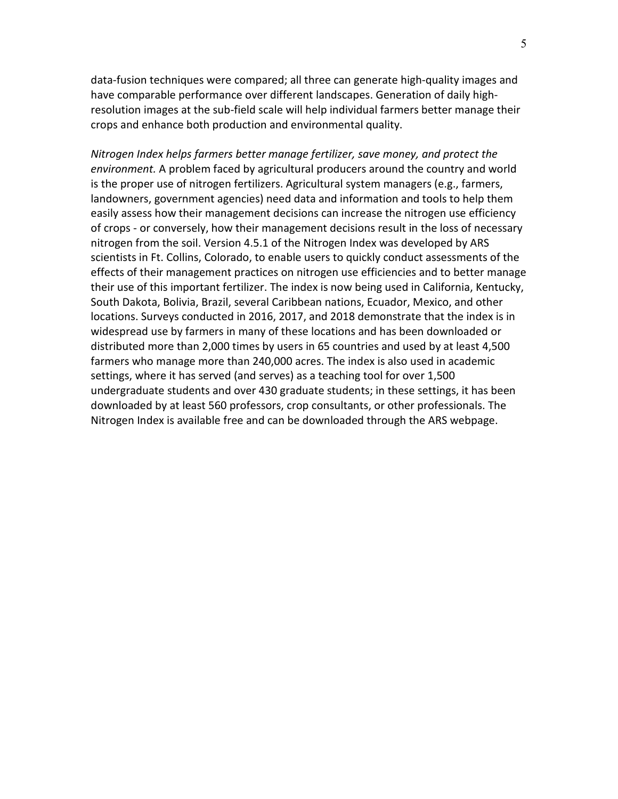data-fusion techniques were compared; all three can generate high-quality images and have comparable performance over different landscapes. Generation of daily highresolution images at the sub-field scale will help individual farmers better manage their crops and enhance both production and environmental quality.

*Nitrogen Index helps farmers better manage fertilizer, save money, and protect the environment.* A problem faced by agricultural producers around the country and world is the proper use of nitrogen fertilizers. Agricultural system managers (e.g., farmers, landowners, government agencies) need data and information and tools to help them easily assess how their management decisions can increase the nitrogen use efficiency of crops - or conversely, how their management decisions result in the loss of necessary nitrogen from the soil. Version 4.5.1 of the Nitrogen Index was developed by ARS scientists in Ft. Collins, Colorado, to enable users to quickly conduct assessments of the effects of their management practices on nitrogen use efficiencies and to better manage their use of this important fertilizer. The index is now being used in California, Kentucky, South Dakota, Bolivia, Brazil, several Caribbean nations, Ecuador, Mexico, and other locations. Surveys conducted in 2016, 2017, and 2018 demonstrate that the index is in widespread use by farmers in many of these locations and has been downloaded or distributed more than 2,000 times by users in 65 countries and used by at least 4,500 farmers who manage more than 240,000 acres. The index is also used in academic settings, where it has served (and serves) as a teaching tool for over 1,500 undergraduate students and over 430 graduate students; in these settings, it has been downloaded by at least 560 professors, crop consultants, or other professionals. The Nitrogen Index is available free and can be downloaded through the ARS webpage.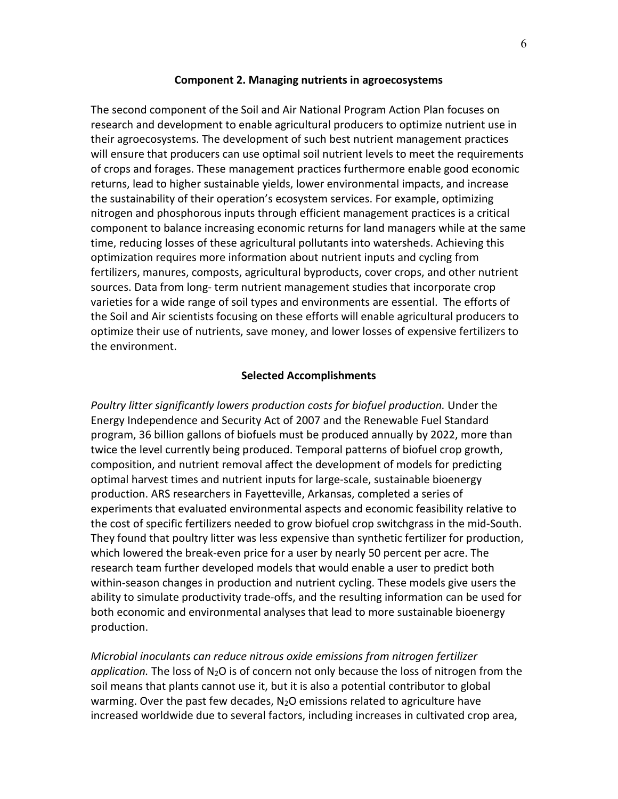#### **Component 2. Managing nutrients in agroecosystems**

The second component of the Soil and Air National Program Action Plan focuses on research and development to enable agricultural producers to optimize nutrient use in their agroecosystems. The development of such best nutrient management practices will ensure that producers can use optimal soil nutrient levels to meet the requirements of crops and forages. These management practices furthermore enable good economic returns, lead to higher sustainable yields, lower environmental impacts, and increase the sustainability of their operation's ecosystem services. For example, optimizing nitrogen and phosphorous inputs through efficient management practices is a critical component to balance increasing economic returns for land managers while at the same time, reducing losses of these agricultural pollutants into watersheds. Achieving this optimization requires more information about nutrient inputs and cycling from fertilizers, manures, composts, agricultural byproducts, cover crops, and other nutrient sources. Data from long- term nutrient management studies that incorporate crop varieties for a wide range of soil types and environments are essential. The efforts of the Soil and Air scientists focusing on these efforts will enable agricultural producers to optimize their use of nutrients, save money, and lower losses of expensive fertilizers to the environment.

### **Selected Accomplishments**

*Poultry litter significantly lowers production costs for biofuel production.* Under the Energy Independence and Security Act of 2007 and the Renewable Fuel Standard program, 36 billion gallons of biofuels must be produced annually by 2022, more than twice the level currently being produced. Temporal patterns of biofuel crop growth, composition, and nutrient removal affect the development of models for predicting optimal harvest times and nutrient inputs for large-scale, sustainable bioenergy production. ARS researchers in Fayetteville, Arkansas, completed a series of experiments that evaluated environmental aspects and economic feasibility relative to the cost of specific fertilizers needed to grow biofuel crop switchgrass in the mid-South. They found that poultry litter was less expensive than synthetic fertilizer for production, which lowered the break-even price for a user by nearly 50 percent per acre. The research team further developed models that would enable a user to predict both within-season changes in production and nutrient cycling. These models give users the ability to simulate productivity trade-offs, and the resulting information can be used for both economic and environmental analyses that lead to more sustainable bioenergy production.

*Microbial inoculants can reduce nitrous oxide emissions from nitrogen fertilizer application.* The loss of N2O is of concern not only because the loss of nitrogen from the soil means that plants cannot use it, but it is also a potential contributor to global warming. Over the past few decades,  $N_2O$  emissions related to agriculture have increased worldwide due to several factors, including increases in cultivated crop area,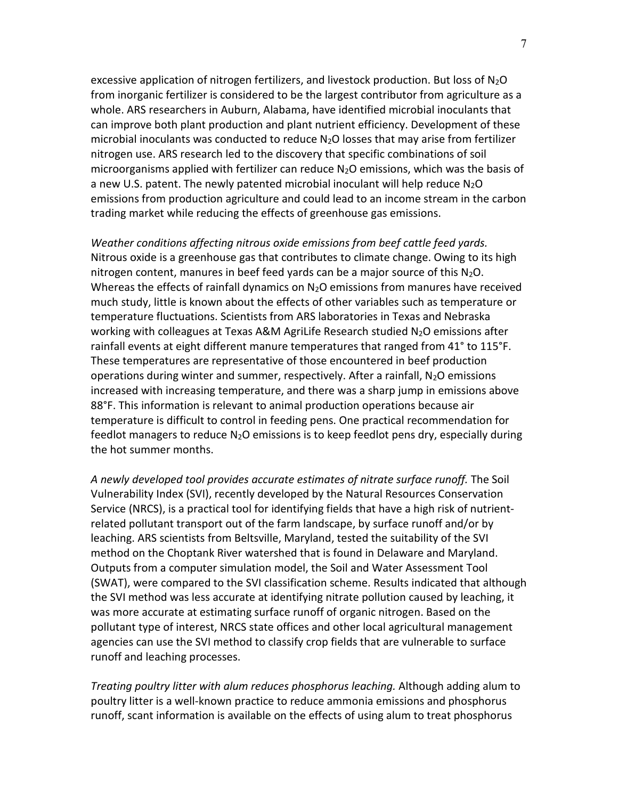excessive application of nitrogen fertilizers, and livestock production. But loss of  $N_2O$ from inorganic fertilizer is considered to be the largest contributor from agriculture as a whole. ARS researchers in Auburn, Alabama, have identified microbial inoculants that can improve both plant production and plant nutrient efficiency. Development of these microbial inoculants was conducted to reduce N2O losses that may arise from fertilizer nitrogen use. ARS research led to the discovery that specific combinations of soil microorganisms applied with fertilizer can reduce  $N_2O$  emissions, which was the basis of a new U.S. patent. The newly patented microbial inoculant will help reduce  $N_2O$ emissions from production agriculture and could lead to an income stream in the carbon trading market while reducing the effects of greenhouse gas emissions.

*Weather conditions affecting nitrous oxide emissions from beef cattle feed yards.* Nitrous oxide is a greenhouse gas that contributes to climate change. Owing to its high nitrogen content, manures in beef feed yards can be a major source of this  $N_2O$ . Whereas the effects of rainfall dynamics on  $N_2O$  emissions from manures have received much study, little is known about the effects of other variables such as temperature or temperature fluctuations. Scientists from ARS laboratories in Texas and Nebraska working with colleagues at Texas A&M AgriLife Research studied  $N_2O$  emissions after rainfall events at eight different manure temperatures that ranged from 41° to 115°F. These temperatures are representative of those encountered in beef production operations during winter and summer, respectively. After a rainfall,  $N_2O$  emissions increased with increasing temperature, and there was a sharp jump in emissions above 88°F. This information is relevant to animal production operations because air temperature is difficult to control in feeding pens. One practical recommendation for feedlot managers to reduce  $N_2O$  emissions is to keep feedlot pens dry, especially during the hot summer months.

*A newly developed tool provides accurate estimates of nitrate surface runoff.* The Soil Vulnerability Index (SVI), recently developed by the Natural Resources Conservation Service (NRCS), is a practical tool for identifying fields that have a high risk of nutrientrelated pollutant transport out of the farm landscape, by surface runoff and/or by leaching. ARS scientists from Beltsville, Maryland, tested the suitability of the SVI method on the Choptank River watershed that is found in Delaware and Maryland. Outputs from a computer simulation model, the Soil and Water Assessment Tool (SWAT), were compared to the SVI classification scheme. Results indicated that although the SVI method was less accurate at identifying nitrate pollution caused by leaching, it was more accurate at estimating surface runoff of organic nitrogen. Based on the pollutant type of interest, NRCS state offices and other local agricultural management agencies can use the SVI method to classify crop fields that are vulnerable to surface runoff and leaching processes.

*Treating poultry litter with alum reduces phosphorus leaching.* Although adding alum to poultry litter is a well-known practice to reduce ammonia emissions and phosphorus runoff, scant information is available on the effects of using alum to treat phosphorus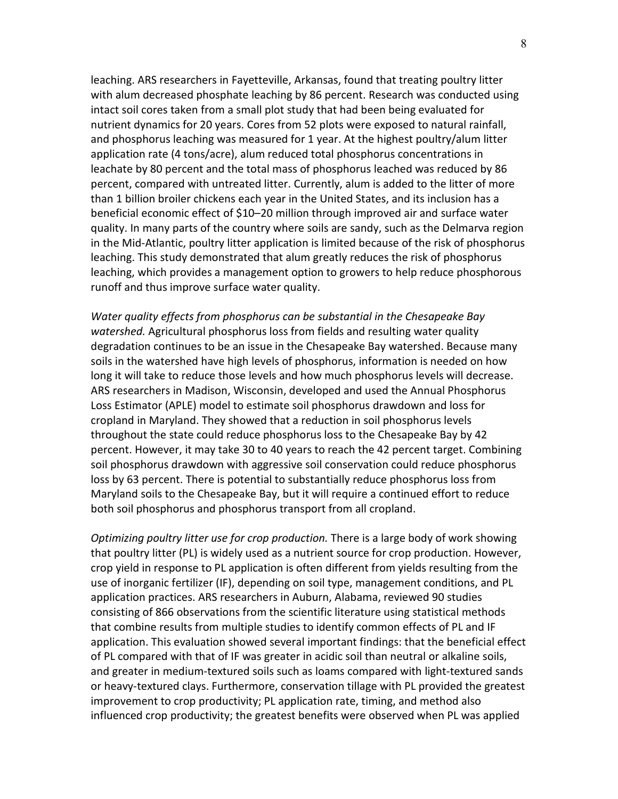leaching. ARS researchers in Fayetteville, Arkansas, found that treating poultry litter with alum decreased phosphate leaching by 86 percent. Research was conducted using intact soil cores taken from a small plot study that had been being evaluated for nutrient dynamics for 20 years. Cores from 52 plots were exposed to natural rainfall, and phosphorus leaching was measured for 1 year. At the highest poultry/alum litter application rate (4 tons/acre), alum reduced total phosphorus concentrations in leachate by 80 percent and the total mass of phosphorus leached was reduced by 86 percent, compared with untreated litter. Currently, alum is added to the litter of more than 1 billion broiler chickens each year in the United States, and its inclusion has a beneficial economic effect of \$10–20 million through improved air and surface water quality. In many parts of the country where soils are sandy, such as the Delmarva region in the Mid-Atlantic, poultry litter application is limited because of the risk of phosphorus leaching. This study demonstrated that alum greatly reduces the risk of phosphorus leaching, which provides a management option to growers to help reduce phosphorous runoff and thus improve surface water quality.

*Water quality effects from phosphorus can be substantial in the Chesapeake Bay watershed.* Agricultural phosphorus loss from fields and resulting water quality degradation continues to be an issue in the Chesapeake Bay watershed. Because many soils in the watershed have high levels of phosphorus, information is needed on how long it will take to reduce those levels and how much phosphorus levels will decrease. ARS researchers in Madison, Wisconsin, developed and used the Annual Phosphorus Loss Estimator (APLE) model to estimate soil phosphorus drawdown and loss for cropland in Maryland. They showed that a reduction in soil phosphorus levels throughout the state could reduce phosphorus loss to the Chesapeake Bay by 42 percent. However, it may take 30 to 40 years to reach the 42 percent target. Combining soil phosphorus drawdown with aggressive soil conservation could reduce phosphorus loss by 63 percent. There is potential to substantially reduce phosphorus loss from Maryland soils to the Chesapeake Bay, but it will require a continued effort to reduce both soil phosphorus and phosphorus transport from all cropland.

*Optimizing poultry litter use for crop production.* There is a large body of work showing that poultry litter (PL) is widely used as a nutrient source for crop production. However, crop yield in response to PL application is often different from yields resulting from the use of inorganic fertilizer (IF), depending on soil type, management conditions, and PL application practices. ARS researchers in Auburn, Alabama, reviewed 90 studies consisting of 866 observations from the scientific literature using statistical methods that combine results from multiple studies to identify common effects of PL and IF application. This evaluation showed several important findings: that the beneficial effect of PL compared with that of IF was greater in acidic soil than neutral or alkaline soils, and greater in medium-textured soils such as loams compared with light-textured sands or heavy-textured clays. Furthermore, conservation tillage with PL provided the greatest improvement to crop productivity; PL application rate, timing, and method also influenced crop productivity; the greatest benefits were observed when PL was applied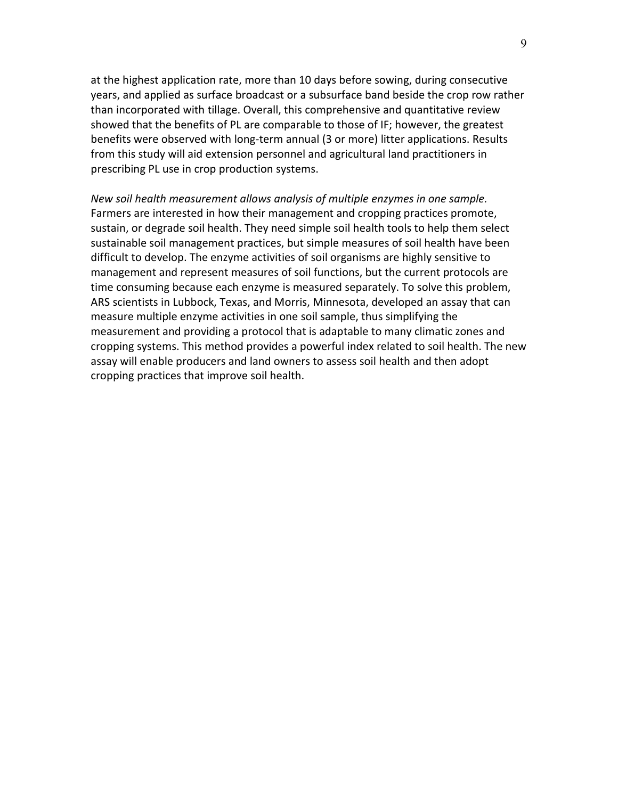at the highest application rate, more than 10 days before sowing, during consecutive years, and applied as surface broadcast or a subsurface band beside the crop row rather than incorporated with tillage. Overall, this comprehensive and quantitative review showed that the benefits of PL are comparable to those of IF; however, the greatest benefits were observed with long-term annual (3 or more) litter applications. Results from this study will aid extension personnel and agricultural land practitioners in prescribing PL use in crop production systems.

*New soil health measurement allows analysis of multiple enzymes in one sample.* Farmers are interested in how their management and cropping practices promote, sustain, or degrade soil health. They need simple soil health tools to help them select sustainable soil management practices, but simple measures of soil health have been difficult to develop. The enzyme activities of soil organisms are highly sensitive to management and represent measures of soil functions, but the current protocols are time consuming because each enzyme is measured separately. To solve this problem, ARS scientists in Lubbock, Texas, and Morris, Minnesota, developed an assay that can measure multiple enzyme activities in one soil sample, thus simplifying the measurement and providing a protocol that is adaptable to many climatic zones and cropping systems. This method provides a powerful index related to soil health. The new assay will enable producers and land owners to assess soil health and then adopt cropping practices that improve soil health.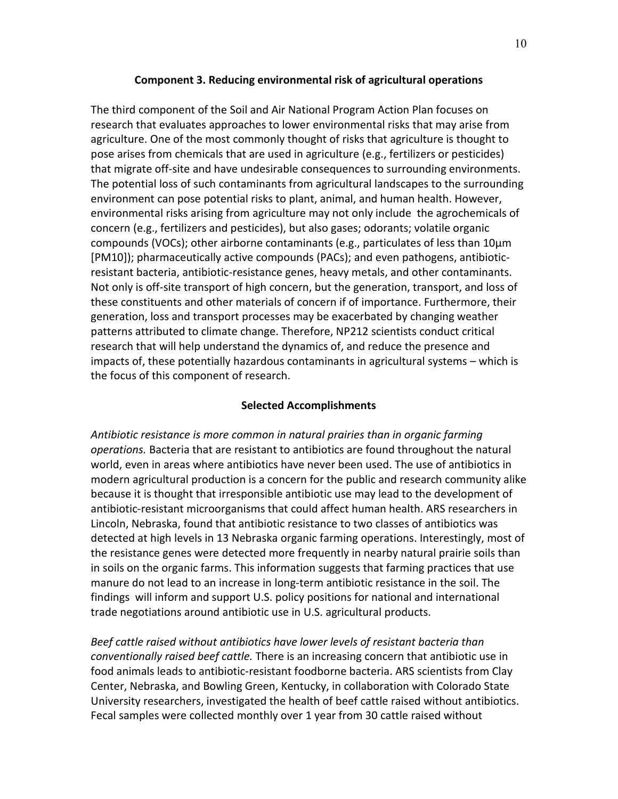## **Component 3. Reducing environmental risk of agricultural operations**

The third component of the Soil and Air National Program Action Plan focuses on research that evaluates approaches to lower environmental risks that may arise from agriculture. One of the most commonly thought of risks that agriculture is thought to pose arises from chemicals that are used in agriculture (e.g., fertilizers or pesticides) that migrate off-site and have undesirable consequences to surrounding environments. The potential loss of such contaminants from agricultural landscapes to the surrounding environment can pose potential risks to plant, animal, and human health. However, environmental risks arising from agriculture may not only include the agrochemicals of concern (e.g., fertilizers and pesticides), but also gases; odorants; volatile organic compounds (VOCs); other airborne contaminants (e.g., particulates of less than 10μm [PM10]); pharmaceutically active compounds (PACs); and even pathogens, antibioticresistant bacteria, antibiotic-resistance genes, heavy metals, and other contaminants. Not only is off-site transport of high concern, but the generation, transport, and loss of these constituents and other materials of concern if of importance. Furthermore, their generation, loss and transport processes may be exacerbated by changing weather patterns attributed to climate change. Therefore, NP212 scientists conduct critical research that will help understand the dynamics of, and reduce the presence and impacts of, these potentially hazardous contaminants in agricultural systems – which is the focus of this component of research.

## **Selected Accomplishments**

*Antibiotic resistance is more common in natural prairies than in organic farming operations.* Bacteria that are resistant to antibiotics are found throughout the natural world, even in areas where antibiotics have never been used. The use of antibiotics in modern agricultural production is a concern for the public and research community alike because it is thought that irresponsible antibiotic use may lead to the development of antibiotic-resistant microorganisms that could affect human health. ARS researchers in Lincoln, Nebraska, found that antibiotic resistance to two classes of antibiotics was detected at high levels in 13 Nebraska organic farming operations. Interestingly, most of the resistance genes were detected more frequently in nearby natural prairie soils than in soils on the organic farms. This information suggests that farming practices that use manure do not lead to an increase in long-term antibiotic resistance in the soil. The findings will inform and support U.S. policy positions for national and international trade negotiations around antibiotic use in U.S. agricultural products.

*Beef cattle raised without antibiotics have lower levels of resistant bacteria than conventionally raised beef cattle.* There is an increasing concern that antibiotic use in food animals leads to antibiotic-resistant foodborne bacteria. ARS scientists from Clay Center, Nebraska, and Bowling Green, Kentucky, in collaboration with Colorado State University researchers, investigated the health of beef cattle raised without antibiotics. Fecal samples were collected monthly over 1 year from 30 cattle raised without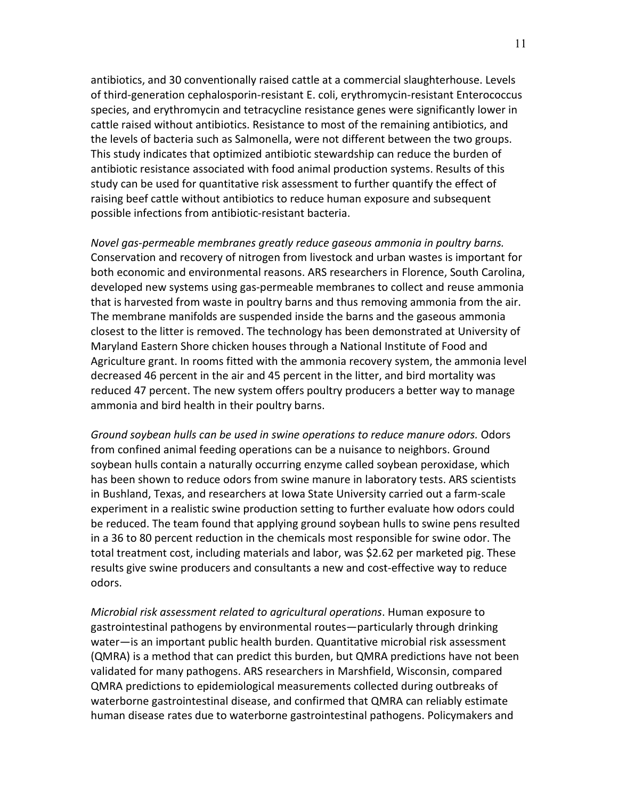antibiotics, and 30 conventionally raised cattle at a commercial slaughterhouse. Levels of third-generation cephalosporin-resistant E. coli, erythromycin-resistant Enterococcus species, and erythromycin and tetracycline resistance genes were significantly lower in cattle raised without antibiotics. Resistance to most of the remaining antibiotics, and the levels of bacteria such as Salmonella, were not different between the two groups. This study indicates that optimized antibiotic stewardship can reduce the burden of antibiotic resistance associated with food animal production systems. Results of this study can be used for quantitative risk assessment to further quantify the effect of raising beef cattle without antibiotics to reduce human exposure and subsequent possible infections from antibiotic-resistant bacteria.

*Novel gas-permeable membranes greatly reduce gaseous ammonia in poultry barns.* Conservation and recovery of nitrogen from livestock and urban wastes is important for both economic and environmental reasons. ARS researchers in Florence, South Carolina, developed new systems using gas-permeable membranes to collect and reuse ammonia that is harvested from waste in poultry barns and thus removing ammonia from the air. The membrane manifolds are suspended inside the barns and the gaseous ammonia closest to the litter is removed. The technology has been demonstrated at University of Maryland Eastern Shore chicken houses through a National Institute of Food and Agriculture grant. In rooms fitted with the ammonia recovery system, the ammonia level decreased 46 percent in the air and 45 percent in the litter, and bird mortality was reduced 47 percent. The new system offers poultry producers a better way to manage ammonia and bird health in their poultry barns.

*Ground soybean hulls can be used in swine operations to reduce manure odors.* Odors from confined animal feeding operations can be a nuisance to neighbors. Ground soybean hulls contain a naturally occurring enzyme called soybean peroxidase, which has been shown to reduce odors from swine manure in laboratory tests. ARS scientists in Bushland, Texas, and researchers at Iowa State University carried out a farm-scale experiment in a realistic swine production setting to further evaluate how odors could be reduced. The team found that applying ground soybean hulls to swine pens resulted in a 36 to 80 percent reduction in the chemicals most responsible for swine odor. The total treatment cost, including materials and labor, was \$2.62 per marketed pig. These results give swine producers and consultants a new and cost-effective way to reduce odors.

*Microbial risk assessment related to agricultural operations*. Human exposure to gastrointestinal pathogens by environmental routes—particularly through drinking water—is an important public health burden. Quantitative microbial risk assessment (QMRA) is a method that can predict this burden, but QMRA predictions have not been validated for many pathogens. ARS researchers in Marshfield, Wisconsin, compared QMRA predictions to epidemiological measurements collected during outbreaks of waterborne gastrointestinal disease, and confirmed that QMRA can reliably estimate human disease rates due to waterborne gastrointestinal pathogens. Policymakers and